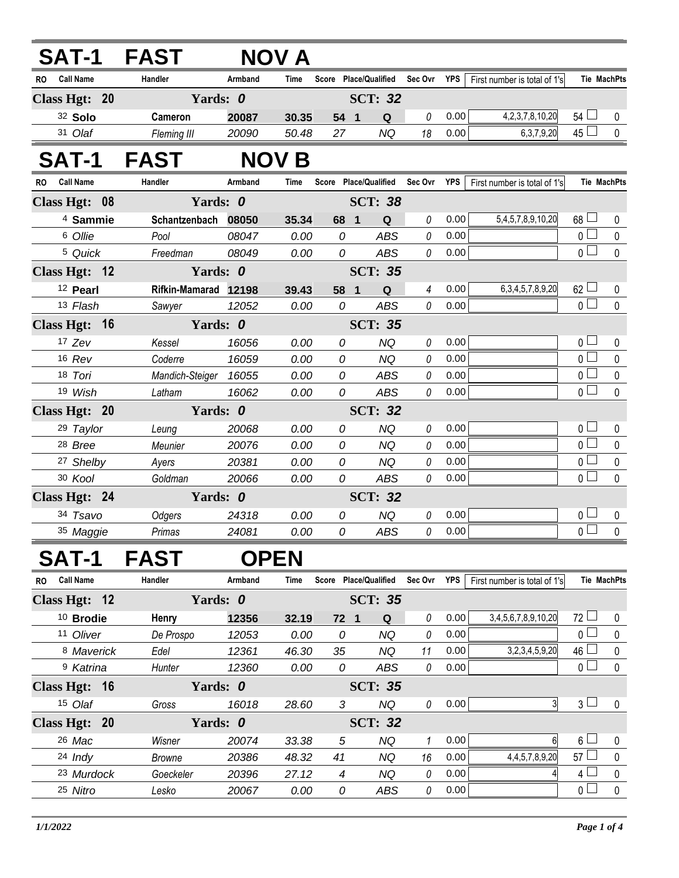|                               | SAT-1 FAST    |                       | <b>NOV A</b> |                |                                   |                |      |                              |                 |                    |
|-------------------------------|---------------|-----------------------|--------------|----------------|-----------------------------------|----------------|------|------------------------------|-----------------|--------------------|
| <b>Call Name</b><br>RO.       | Handler       | Armband               | Time         |                | Score Place/Qualified Sec Ovr YPS |                |      | First number is total of 1's |                 | Tie MachPts        |
| Class Hgt: 20                 |               | Yards: 0              |              |                | <b>SCT: 32</b>                    |                |      |                              |                 |                    |
| 32 Solo                       | Cameron       | 20087                 | 30.35        | 54 1           | ${\bf Q}$                         | $\it{0}$       | 0.00 | 4, 2, 3, 7, 8, 10, 20        | $54 \Box$       | 0                  |
| 31 Olaf                       | Fleming III   | 20090                 | 50.48        | 27             | <b>NQ</b>                         | 18             | 0.00 | 6, 3, 7, 9, 20               | $45\Box$        | $\mathbf 0$        |
| SAT-1                         | <b>FAST</b>   |                       | <b>NOV B</b> |                |                                   |                |      |                              |                 |                    |
| <b>Call Name</b><br><b>RO</b> | Handler       | Armband               | Time         |                | Score Place/Qualified             | Sec Ovr YPS    |      | First number is total of 1's |                 | <b>Tie MachPts</b> |
| Class Hgt: 08                 |               | Yards: 0              |              |                | <b>SCT: 38</b>                    |                |      |                              |                 |                    |
| <sup>4</sup> Sammie           | Schantzenbach | 08050                 | 35.34        | 68 1           | Q                                 | 0              | 0.00 | 5,4,5,7,8,9,10,20            | $68 \Box$       | 0                  |
| 6 Ollie                       | Pool          | 08047                 | 0.00         | 0              | <b>ABS</b>                        | 0              | 0.00 |                              | $\overline{0}$  | $\pmb{0}$          |
| 5 Quick                       | Freedman      | 08049                 | 0.00         | 0              | <b>ABS</b>                        | 0              | 0.00 |                              | $\overline{0}$  | $\mathbf 0$        |
| Class Hgt: 12                 |               | Yards: 0              |              |                | <b>SCT: 35</b>                    |                |      |                              |                 |                    |
| <sup>12</sup> Pearl           |               | Rifkin-Mamarad 12198  | 39.43        | 58 1           | $\mathbf Q$                       | $\overline{4}$ | 0.00 | 6, 3, 4, 5, 7, 8, 9, 20      | $62 \Box$       | 0                  |
| 13 Flash                      | Sawyer        | 12052                 | 0.00         | 0              | <b>ABS</b>                        | 0              | 0.00 |                              | $\overline{0}$  | $\mathbf{0}$       |
| Class Hgt: 16                 |               | Yards: 0              |              |                | <b>SCT: 35</b>                    |                |      |                              |                 |                    |
| 17 Zev                        | Kessel        | 16056                 | 0.00         | 0              | <b>NQ</b>                         | 0              | 0.00 |                              | 0 <sub>0</sub>  | $\mathbf 0$        |
| 16 Rev                        | Coderre       | 16059                 | 0.00         | 0              | <b>NQ</b>                         | 0              | 0.00 |                              | $\overline{0}$  | $\mathbf 0$        |
| 18 Tori                       |               | Mandich-Steiger 16055 | 0.00         | 0              | ABS                               | 0              | 0.00 |                              | 0 <sup>1</sup>  | $\pmb{0}$          |
| 19 Wish                       | Latham        | 16062                 | 0.00         | 0              | <b>ABS</b>                        | 0              | 0.00 |                              | $\overline{0}$  | $\mathbf 0$        |
| Class Hgt: 20                 |               | Yards: 0              |              |                | <b>SCT: 32</b>                    |                |      |                              |                 |                    |
| 29 Taylor                     | Leung         | 20068                 | 0.00         | 0              | <b>NQ</b>                         | 0              | 0.00 |                              | 0 <sub>1</sub>  | 0                  |
| 28 Bree                       | Meunier       | 20076                 | 0.00         | 0              | <b>NQ</b>                         | 0              | 0.00 |                              | $\overline{0}$  | $\pmb{0}$          |
| 27 Shelby                     | Ayers         | 20381                 | 0.00         | 0              | <b>NQ</b>                         | 0              | 0.00 |                              | 0 l             | 0                  |
| 30 Kool                       | Goldman       | 20066                 | 0.00         | 0              | <b>ABS</b>                        | 0              | 0.00 |                              | $_0\sqcup$      | $\mathbf 0$        |
| Class Hgt: 24                 |               | Yards: 0              |              |                | <b>SCT: 32</b>                    |                |      |                              |                 |                    |
| 34 Tsavo                      | Odgers        | 24318                 | 0.00         | 0              | <b>NQ</b>                         | 0              | 0.00 |                              | 0 <sub>1</sub>  | 0                  |
| 35 Maggie                     | Primas        | 24081                 | 0.00         | 0              | <b>ABS</b>                        | 0              | 0.00 |                              | $\overline{0}$  | $\mathbf 0$        |
| SAT-1                         | <b>FAST</b>   | <b>OPEN</b>           |              |                |                                   |                |      |                              |                 |                    |
| RO Call Name                  | Handler       | Armband               | Time         |                | Score Place/Qualified             | Sec Ovr YPS    |      | First number is total of 1's |                 | Tie MachPts        |
| Class Hgt: 12                 |               | Yards: 0              |              | <b>SCT: 35</b> |                                   |                |      |                              |                 |                    |
| $10$ Brodie                   | Henry         | 12356                 | 32.19        | 72 1           | Q                                 | 0              | 0.00 | 3,4,5,6,7,8,9,10,20          | $72 \Box$       | 0                  |
| 11 Oliver                     | De Prospo     | 12053                 | 0.00         | 0              | <b>NQ</b>                         | 0              | 0.00 |                              | 0 <sup>1</sup>  | 0                  |
| 8 Maverick                    | Edel          | 12361                 | 46.30        | 35             | <b>NQ</b>                         | 11             | 0.00 | 3,2,3,4,5,9,20               | 46 <sup>°</sup> | $\pmb{0}$          |
| <sup>9</sup> Katrina          | Hunter        | 12360                 | 0.00         | 0              | <b>ABS</b>                        | 0              | 0.00 |                              | 0 <sub>1</sub>  | 0                  |
| Class Hgt: 16                 |               | Yards: 0              |              |                | <b>SCT: 35</b>                    |                |      |                              |                 |                    |
| 15 Olaf                       | Gross         | 16018                 | 28.60        | 3              | <b>NQ</b>                         | 0              | 0.00 | 3                            | $3\sqcup$       | 0                  |
| Class Hgt: 20                 |               | Yards: 0              |              | <b>SCT: 32</b> |                                   |                |      |                              |                 |                    |
| 26 Mac                        | Wisner        | 20074                 | 33.38        | 5              | <b>NQ</b>                         | 1              | 0.00 | 6                            | $6\perp$        | 0                  |
| 24 Indy                       | <b>Browne</b> | 20386                 | 48.32        | 41             | <b>NQ</b>                         | 16             | 0.00 | 4, 4, 5, 7, 8, 9, 20         | $57 \Box$       | 0                  |
| 23 Murdock                    | Goeckeler     | 20396                 | 27.12        | 4              | NQ                                | 0              | 0.00 | 4                            | $\overline{4}$  | 0                  |
| 25 Nitro                      | Lesko         | 20067                 | 0.00         | 0              | ABS                               | 0              | 0.00 |                              | 0 <sub>0</sub>  | $\mathbf 0$        |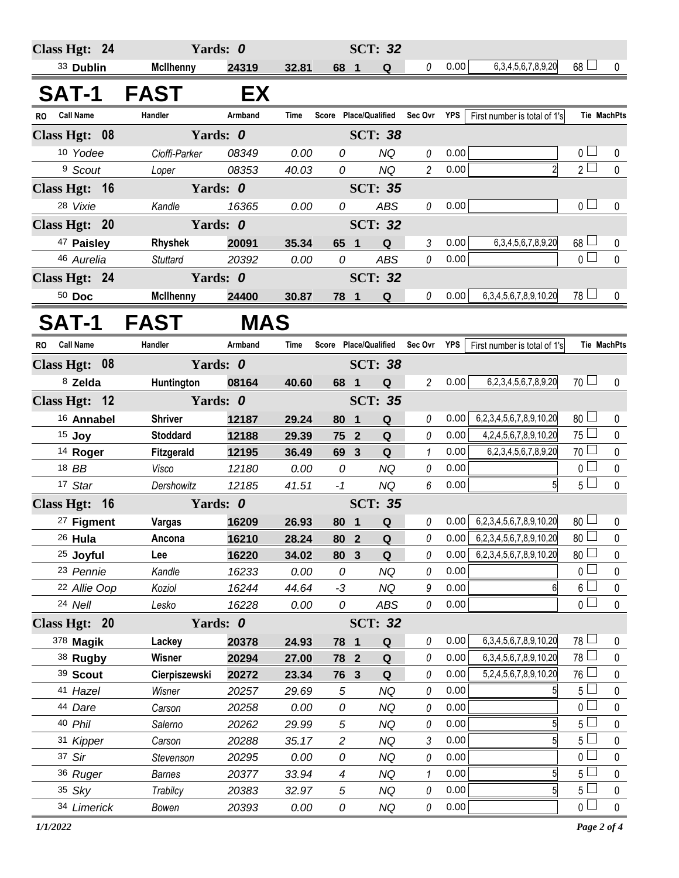| Class Hgt: 24                 | Yards: 0          |                |             |                       |                | <b>SCT: 32</b>        |                |            |                                |                 |                    |
|-------------------------------|-------------------|----------------|-------------|-----------------------|----------------|-----------------------|----------------|------------|--------------------------------|-----------------|--------------------|
| 33 Dublin                     | <b>McIlhenny</b>  | 24319          | 32.81       | 68 1                  |                | Q                     | $\theta$       | 0.00       | 6, 3, 4, 5, 6, 7, 8, 9, 20     | $68$ $\Box$     | 0                  |
|                               |                   |                |             |                       |                |                       |                |            |                                |                 |                    |
| <b>SAT-1</b>                  | <b>FAST</b>       | EX             |             |                       |                |                       |                |            |                                |                 |                    |
| <b>Call Name</b><br><b>RO</b> | Handler           | Armband        | <b>Time</b> | Score Place/Qualified |                |                       | Sec Ovr        | <b>YPS</b> | First number is total of 1's   |                 | <b>Tie MachPts</b> |
| Class Hgt: 08                 | Yards: 0          |                |             |                       |                | <b>SCT: 38</b>        |                |            |                                |                 |                    |
| 10 Yodee                      | Cioffi-Parker     | 08349          | 0.00        | 0                     |                | <b>NQ</b>             | 0              | 0.00       |                                | 0 <sub>1</sub>  | 0                  |
| <sup>9</sup> Scout            | Loper             | 08353          | 40.03       | 0                     |                | <b>NQ</b>             | $\overline{c}$ | 0.00       | $\overline{2}$                 | $2^{\square}$   | $\mathbf 0$        |
| Class Hgt: 16                 | Yards: 0          |                |             |                       |                | <b>SCT: 35</b>        |                |            |                                |                 |                    |
| 28 Vixie                      | Kandle            | 16365          | 0.00        | 0                     |                | <b>ABS</b>            | 0              | 0.00       |                                | 0 <sub>0</sub>  | $\mathbf 0$        |
| Class Hgt: 20                 | Yards: 0          | <b>SCT: 32</b> |             |                       |                |                       |                |            |                                |                 |                    |
| 47 Paisley                    | Rhyshek           | 20091          | 35.34       | 65 1                  |                | Q                     | 3              | 0.00       | 6, 3, 4, 5, 6, 7, 8, 9, 20     | $68 \Box$       | 0                  |
| 46 Aurelia                    | <b>Stuttard</b>   | 20392          | 0.00        | 0                     |                | <b>ABS</b>            | 0              | 0.00       |                                | $\overline{0}$  | $\mathbf 0$        |
| Class Hgt: 24                 |                   | Yards: 0       |             |                       | <b>SCT: 32</b> |                       |                |            |                                |                 |                    |
| $50$ Doc                      | <b>McIlhenny</b>  | 24400          | 30.87       | 78 1                  |                | Q                     | 0              | 0.00       | 6, 3, 4, 5, 6, 7, 8, 9, 10, 20 | $78 \Box$       | 0                  |
| <b>SAT-1</b>                  | FAST              | <b>MAS</b>     |             |                       |                |                       |                |            |                                |                 |                    |
| <b>Call Name</b><br><b>RO</b> | Handler           | Armband        | Time        |                       |                | Score Place/Qualified | Sec Ovr        | YPS        | First number is total of 1's   |                 | <b>Tie MachPts</b> |
| Class Hgt: 08                 | Yards: 0          |                |             |                       |                | <b>SCT: 38</b>        |                |            |                                |                 |                    |
| 8 Zelda                       | Huntington        | 08164          | 40.60       | 68 1                  |                | Q                     | $\overline{2}$ | 0.00       | 6,2,3,4,5,6,7,8,9,20           | $70$ $\Box$     | $\mathbf 0$        |
| Class Hgt: 12                 | Yards: 0          |                |             |                       |                | <b>SCT: 35</b>        |                |            |                                |                 |                    |
| <sup>16</sup> Annabel         | <b>Shriver</b>    | 12187          | 29.24       | 80                    | $\blacksquare$ | Q                     | 0              | 0.00       | 6,2,3,4,5,6,7,8,9,10,20        | 80 <sup>1</sup> | 0                  |
| $15$ Joy                      | <b>Stoddard</b>   | 12188          | 29.39       | 75 2                  |                | Q                     | $\theta$       | 0.00       | 4,2,4,5,6,7,8,9,10,20          | $75\Box$        | $\pmb{0}$          |
| <sup>14</sup> Roger           | <b>Fitzgerald</b> | 12195          | 36.49       | 69 3                  |                | $\mathbf Q$           | 1              | 0.00       | 6,2,3,4,5,6,7,8,9,20           | 70              | $\pmb{0}$          |
| 18 BB                         | Visco             | 12180          | 0.00        | 0                     |                | <b>NQ</b>             | 0              | 0.00       |                                | $\overline{0}$  | $\pmb{0}$          |
| 17 Star                       | Dershowitz        | 12185          | 41.51       | $-1$                  |                | <b>NQ</b>             | 6              | 0.00       | 5 <sup>1</sup>                 | $5\Box$         | $\mathbf{0}$       |
| Class Hgt: 16                 | Yards: 0          |                |             |                       |                | <b>SCT: 35</b>        |                |            |                                |                 |                    |
| 27 Figment                    | Vargas            | 16209          | 26.93       | 80                    | $\overline{1}$ | Q                     | 0              | 0.00       | 6,2,3,4,5,6,7,8,9,10,20        | 80 <sup>1</sup> | 0                  |
| 26 Hula                       | Ancona            | 16210          | 28.24       | 80 2                  |                | Q                     | 0              | 0.00       | 6,2,3,4,5,6,7,8,9,10,20        | $80\Box$        | 0                  |
| <sup>25</sup> Joyful          | Lee               | 16220          | 34.02       | 80 3                  |                | Q                     | 0              | 0.00       | 6,2,3,4,5,6,7,8,9,10,20        | $80 -$          | $\mathbf 0$        |
| 23 Pennie                     | Kandle            | 16233          | 0.00        | 0                     |                | <b>NQ</b>             | 0              | 0.00       |                                | 0 l             | $\mathbf 0$        |
| 22 Allie Oop                  | Koziol            | 16244          | 44.64       | $-3$                  |                | <b>NQ</b>             | 9              | 0.00       | 6                              | 6 <sup>L</sup>  | $\pmb{0}$          |
| 24 Nell                       | Lesko             | 16228          | 0.00        | 0                     |                | ABS                   | 0              | 0.00       |                                | $\overline{0}$  | $\mathbf 0$        |
| Class Hgt: 20                 | Yards: 0          |                |             |                       |                | <b>SCT: 32</b>        |                |            |                                |                 |                    |
| 378 Magik                     | Lackey            | 20378          | 24.93       | 78 1                  |                | Q                     | 0              | 0.00       | 6, 3, 4, 5, 6, 7, 8, 9, 10, 20 | 78 L            | 0                  |
| 38 Rugby                      | Wisner            | 20294          | 27.00       | 78 2                  |                | Q                     | 0              | 0.00       | 6, 3, 4, 5, 6, 7, 8, 9, 10, 20 | $78 \Box$       | $\mathbf 0$        |
| 39 Scout                      | Cierpiszewski     | 20272          | 23.34       | 76 3                  |                | Q                     | 0              | 0.00       | 5,2,4,5,6,7,8,9,10,20          | $76 \Box$       | $\pmb{0}$          |
| 41 Hazel                      | Wisner            | 20257          | 29.69       | $\sqrt{5}$            |                | <b>NQ</b>             | 0              | 0.00       | 5                              | $5\Box$         | $\pmb{0}$          |
| 44 Dare                       | Carson            | 20258          | 0.00        | 0                     |                | <b>NQ</b>             | 0              | 0.00       |                                | $\overline{0}$  | $\pmb{0}$          |
| 40 Phil                       | Salerno           | 20262          | 29.99       | 5                     |                | <b>NQ</b>             | 0              | 0.00       | 5                              | $5\perp$        | $\mathbf 0$        |
| 31 Kipper                     | Carson            | 20288          | 35.17       | $\overline{c}$        |                | <b>NQ</b>             | 3              | 0.00       | $\mathbf{5}$                   | 5 <sub>1</sub>  | $\pmb{0}$          |
| 37 Sir                        | Stevenson         | 20295          | 0.00        | 0                     |                | NQ                    | 0              | 0.00       |                                | $\mathbf 0$     | $\mathbf 0$        |
| 36 Ruger                      | <b>Barnes</b>     | 20377          | 33.94       | 4                     |                | <b>NQ</b>             | 1              | 0.00       | $\overline{5}$                 | 5 <sup>L</sup>  | $\mathbf 0$        |
| 35 Sky                        | Trabilcy          | 20383          | 32.97       | 5                     |                | <b>NQ</b>             | 0              | 0.00       | $5\overline{1}$                | $5+$            | $\mathbf 0$        |
| 34 Limerick                   | Bowen             | 20393          | 0.00        | 0                     |                | NQ                    | 0              | 0.00       |                                | $\overline{0}$  | $\mathbf 0$        |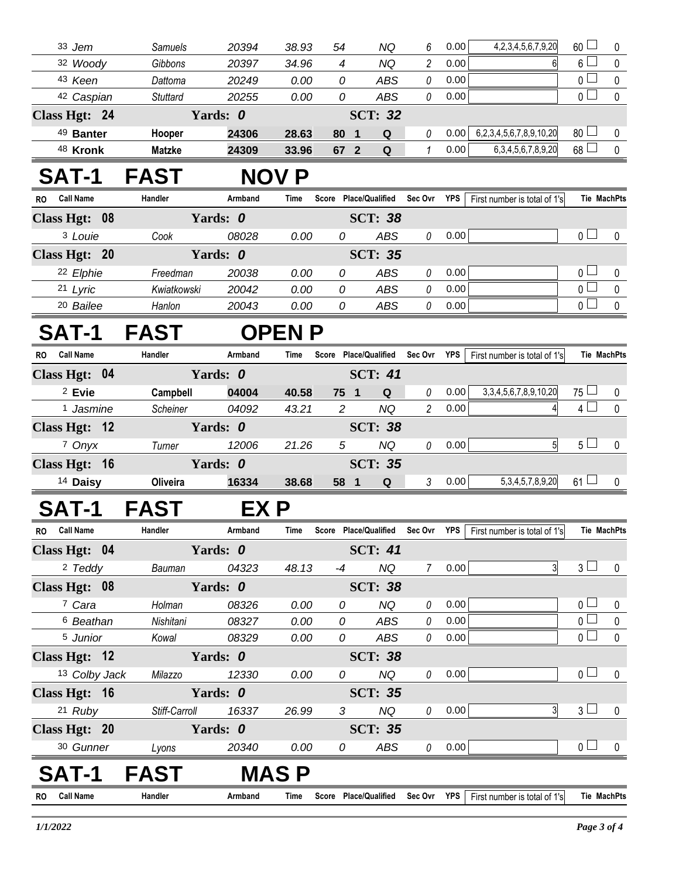| $6\Box$<br>32 Woody<br>Gibbons<br>$\overline{4}$<br>2<br>0.00<br>20397<br>34.96<br>NQ<br>6<br>0 <sub>0</sub><br>43 Keen<br>Dattoma<br>20249<br>0.00<br>0<br><b>ABS</b><br>0<br>0.00<br>0 <sub>l</sub><br>0<br>0<br>42 Caspian<br>ABS<br>0.00<br><b>Stuttard</b><br>20255<br>0.00<br>Yards: 0<br><b>SCT: 32</b><br>Class Hgt: 24<br>$80$ $\Box$<br>6,2,3,4,5,6,7,8,9,10,20<br>49 Banter<br>24306<br>0<br>0.00<br>Hooper<br>28.63<br>80<br>Q<br>$\overline{\mathbf{1}}$<br>$68$ $\Box$<br>0.00<br>1<br>6, 3, 4, 5, 6, 7, 8, 9, 20<br>48 Kronk<br><b>Matzke</b><br>24309<br>33.96<br>67 2<br>Q<br><b>FAST</b><br><b>SAT-1</b><br><b>NOV P</b><br><b>Call Name</b><br>Armband<br><b>Place/Qualified</b><br>Sec Ovr<br>YPS<br>First number is total of 1's<br><b>Tie MachPts</b><br>RO.<br>Handler<br>Score<br>Time<br>Yards: 0<br>Class Hgt: 08<br><b>SCT: 38</b><br>$\overline{0}$ $\Box$<br>0.00<br><sup>3</sup> Louie<br>ABS<br>0.00<br>0<br>0<br>Cook<br>08028<br>Yards: 0<br>Class Hgt: 20<br><b>SCT: 35</b><br>0 <sub>1</sub><br>22 Elphie<br>20038<br>0.00<br>ABS<br>0.00<br>0 |             |
|-----------------------------------------------------------------------------------------------------------------------------------------------------------------------------------------------------------------------------------------------------------------------------------------------------------------------------------------------------------------------------------------------------------------------------------------------------------------------------------------------------------------------------------------------------------------------------------------------------------------------------------------------------------------------------------------------------------------------------------------------------------------------------------------------------------------------------------------------------------------------------------------------------------------------------------------------------------------------------------------------------------------------------------------------------------------------------------|-------------|
|                                                                                                                                                                                                                                                                                                                                                                                                                                                                                                                                                                                                                                                                                                                                                                                                                                                                                                                                                                                                                                                                                   | $\mathbf 0$ |
|                                                                                                                                                                                                                                                                                                                                                                                                                                                                                                                                                                                                                                                                                                                                                                                                                                                                                                                                                                                                                                                                                   | 0           |
|                                                                                                                                                                                                                                                                                                                                                                                                                                                                                                                                                                                                                                                                                                                                                                                                                                                                                                                                                                                                                                                                                   | $\mathbf 0$ |
|                                                                                                                                                                                                                                                                                                                                                                                                                                                                                                                                                                                                                                                                                                                                                                                                                                                                                                                                                                                                                                                                                   |             |
|                                                                                                                                                                                                                                                                                                                                                                                                                                                                                                                                                                                                                                                                                                                                                                                                                                                                                                                                                                                                                                                                                   | 0           |
|                                                                                                                                                                                                                                                                                                                                                                                                                                                                                                                                                                                                                                                                                                                                                                                                                                                                                                                                                                                                                                                                                   | $\pmb{0}$   |
|                                                                                                                                                                                                                                                                                                                                                                                                                                                                                                                                                                                                                                                                                                                                                                                                                                                                                                                                                                                                                                                                                   |             |
|                                                                                                                                                                                                                                                                                                                                                                                                                                                                                                                                                                                                                                                                                                                                                                                                                                                                                                                                                                                                                                                                                   |             |
|                                                                                                                                                                                                                                                                                                                                                                                                                                                                                                                                                                                                                                                                                                                                                                                                                                                                                                                                                                                                                                                                                   |             |
|                                                                                                                                                                                                                                                                                                                                                                                                                                                                                                                                                                                                                                                                                                                                                                                                                                                                                                                                                                                                                                                                                   | $\mathbf 0$ |
|                                                                                                                                                                                                                                                                                                                                                                                                                                                                                                                                                                                                                                                                                                                                                                                                                                                                                                                                                                                                                                                                                   |             |
| 0<br>Freedman                                                                                                                                                                                                                                                                                                                                                                                                                                                                                                                                                                                                                                                                                                                                                                                                                                                                                                                                                                                                                                                                     | $\mathbf 0$ |
| $\overline{0}$<br>21 Lyric<br>20042<br>0<br>ABS<br>0.00<br>Kwiatkowski<br>0.00<br>0                                                                                                                                                                                                                                                                                                                                                                                                                                                                                                                                                                                                                                                                                                                                                                                                                                                                                                                                                                                               | $\mathbf 0$ |
| $\overline{0}$<br><sup>20</sup> Bailee<br>20043<br>ABS<br>0<br>0.00<br>Hanlon<br>0.00<br>0                                                                                                                                                                                                                                                                                                                                                                                                                                                                                                                                                                                                                                                                                                                                                                                                                                                                                                                                                                                        | $\mathbf 0$ |
| <b>SAT-1</b><br><b>FAST</b><br><b>OPEN P</b>                                                                                                                                                                                                                                                                                                                                                                                                                                                                                                                                                                                                                                                                                                                                                                                                                                                                                                                                                                                                                                      |             |
| RO Call Name<br>Handler<br>Armband<br>Score Place/Qualified<br>Sec Ovr<br>YPS<br>First number is total of 1's<br><b>Tie MachPts</b><br>Time                                                                                                                                                                                                                                                                                                                                                                                                                                                                                                                                                                                                                                                                                                                                                                                                                                                                                                                                       |             |
| Yards: 0<br><b>SCT: 41</b><br>Class Hgt: 04                                                                                                                                                                                                                                                                                                                                                                                                                                                                                                                                                                                                                                                                                                                                                                                                                                                                                                                                                                                                                                       |             |
| 0.00<br>3, 3, 4, 5, 6, 7, 8, 9, 10, 20<br>$75 -$<br><sup>2</sup> Evie<br>04004<br>Campbell<br>40.58<br>75 1<br>Q<br>0                                                                                                                                                                                                                                                                                                                                                                                                                                                                                                                                                                                                                                                                                                                                                                                                                                                                                                                                                             | 0           |
| $4\Box$<br>1 Jasmine<br><b>NQ</b><br>$\overline{c}$<br>0.00<br>Scheiner<br>04092<br>$\overline{2}$<br>43.21                                                                                                                                                                                                                                                                                                                                                                                                                                                                                                                                                                                                                                                                                                                                                                                                                                                                                                                                                                       | $\mathbf 0$ |
| Yards: 0<br><b>SCT: 38</b><br>Class Hgt: 12                                                                                                                                                                                                                                                                                                                                                                                                                                                                                                                                                                                                                                                                                                                                                                                                                                                                                                                                                                                                                                       |             |
| 5 <sub>1</sub><br>0.00<br>5 <sup>1</sup><br>7 Onyx<br><b>NQ</b><br>12006<br>21.26<br>5<br>$\theta$<br>Turner                                                                                                                                                                                                                                                                                                                                                                                                                                                                                                                                                                                                                                                                                                                                                                                                                                                                                                                                                                      | 0           |
| Yards: 0<br>Class Hgt: 16<br><b>SCT: 35</b>                                                                                                                                                                                                                                                                                                                                                                                                                                                                                                                                                                                                                                                                                                                                                                                                                                                                                                                                                                                                                                       |             |
| 5, 3, 4, 5, 7, 8, 9, 20<br>3<br>0.00<br>$61 \Box$<br>Oliveira<br>16334<br><sup>14</sup> Daisy<br>38.68<br>58 1<br>Q                                                                                                                                                                                                                                                                                                                                                                                                                                                                                                                                                                                                                                                                                                                                                                                                                                                                                                                                                               | 0           |
| <b>FAST</b><br>SAT-1<br>EX P                                                                                                                                                                                                                                                                                                                                                                                                                                                                                                                                                                                                                                                                                                                                                                                                                                                                                                                                                                                                                                                      |             |
| Sec Ovr $YPS$ First number is total of 1's<br>RO Call Name<br>Score Place/Qualified<br>Tie MachPts<br>Handler<br>Armband<br>Time                                                                                                                                                                                                                                                                                                                                                                                                                                                                                                                                                                                                                                                                                                                                                                                                                                                                                                                                                  |             |
| <b>SCT: 41</b><br>Class Hgt: 04<br>Yards: 0                                                                                                                                                                                                                                                                                                                                                                                                                                                                                                                                                                                                                                                                                                                                                                                                                                                                                                                                                                                                                                       |             |
| 3 <sub>1</sub><br>$\overline{3}$<br><sup>2</sup> Teddy<br>0.00<br>04323<br>48.13<br>NQ<br>$-4$<br>$7^{\circ}$<br>Bauman                                                                                                                                                                                                                                                                                                                                                                                                                                                                                                                                                                                                                                                                                                                                                                                                                                                                                                                                                           | 0           |
| Yards: 0<br><b>SCT: 38</b><br>Class Hgt: 08                                                                                                                                                                                                                                                                                                                                                                                                                                                                                                                                                                                                                                                                                                                                                                                                                                                                                                                                                                                                                                       |             |
| 7 Cara<br>0 <sup>1</sup><br><b>NQ</b><br>0.00<br>Holman<br>08326<br>0.00<br>0<br>0                                                                                                                                                                                                                                                                                                                                                                                                                                                                                                                                                                                                                                                                                                                                                                                                                                                                                                                                                                                                | 0           |
| $\overline{0}$<br><sup>6</sup> Beathan<br>08327<br>0.00<br>0<br>ABS<br>0<br>0.00<br>Nishitani                                                                                                                                                                                                                                                                                                                                                                                                                                                                                                                                                                                                                                                                                                                                                                                                                                                                                                                                                                                     | $\pmb{0}$   |
| 0 <sup>1</sup><br>5 Junior<br>08329<br>ABS<br>0.00<br>Kowal<br>0.00<br>0<br>0                                                                                                                                                                                                                                                                                                                                                                                                                                                                                                                                                                                                                                                                                                                                                                                                                                                                                                                                                                                                     | $\mathbf 0$ |
| Class Hgt: 12<br>Yards: 0<br><b>SCT: 38</b>                                                                                                                                                                                                                                                                                                                                                                                                                                                                                                                                                                                                                                                                                                                                                                                                                                                                                                                                                                                                                                       |             |
| 0 <sub>0</sub><br>13 Colby Jack<br>12330<br><b>NQ</b><br>0<br>0.00<br>Milazzo<br>0.00<br>0                                                                                                                                                                                                                                                                                                                                                                                                                                                                                                                                                                                                                                                                                                                                                                                                                                                                                                                                                                                        | $\mathbf 0$ |
| Class Hgt: 16<br><b>SCT: 35</b><br>Yards: 0                                                                                                                                                                                                                                                                                                                                                                                                                                                                                                                                                                                                                                                                                                                                                                                                                                                                                                                                                                                                                                       |             |
| 3 <sub>1</sub><br>21 Ruby<br><b>NQ</b><br>0.00<br>3<br>16337<br>Stiff-Carroll<br>26.99<br>3<br>0                                                                                                                                                                                                                                                                                                                                                                                                                                                                                                                                                                                                                                                                                                                                                                                                                                                                                                                                                                                  | 0           |
| Class Hgt: 20<br>Yards: 0<br><b>SCT: 35</b>                                                                                                                                                                                                                                                                                                                                                                                                                                                                                                                                                                                                                                                                                                                                                                                                                                                                                                                                                                                                                                       |             |
| 0 <sub>0</sub><br>0.00<br>30 Gunner<br>20340<br>ABS<br>$\mathcal{O}$<br>0.00<br>0<br>Lyons                                                                                                                                                                                                                                                                                                                                                                                                                                                                                                                                                                                                                                                                                                                                                                                                                                                                                                                                                                                        |             |
| <b>FAST</b><br><b>MASP</b><br>Т-1                                                                                                                                                                                                                                                                                                                                                                                                                                                                                                                                                                                                                                                                                                                                                                                                                                                                                                                                                                                                                                                 | $\mathbf 0$ |
| <b>Call Name</b><br>Handler<br>Armband<br>Score Place/Qualified<br>Sec Ovr YPS<br>First number is total of 1's<br><b>Tie MachPts</b><br>Time<br>RO.                                                                                                                                                                                                                                                                                                                                                                                                                                                                                                                                                                                                                                                                                                                                                                                                                                                                                                                               |             |